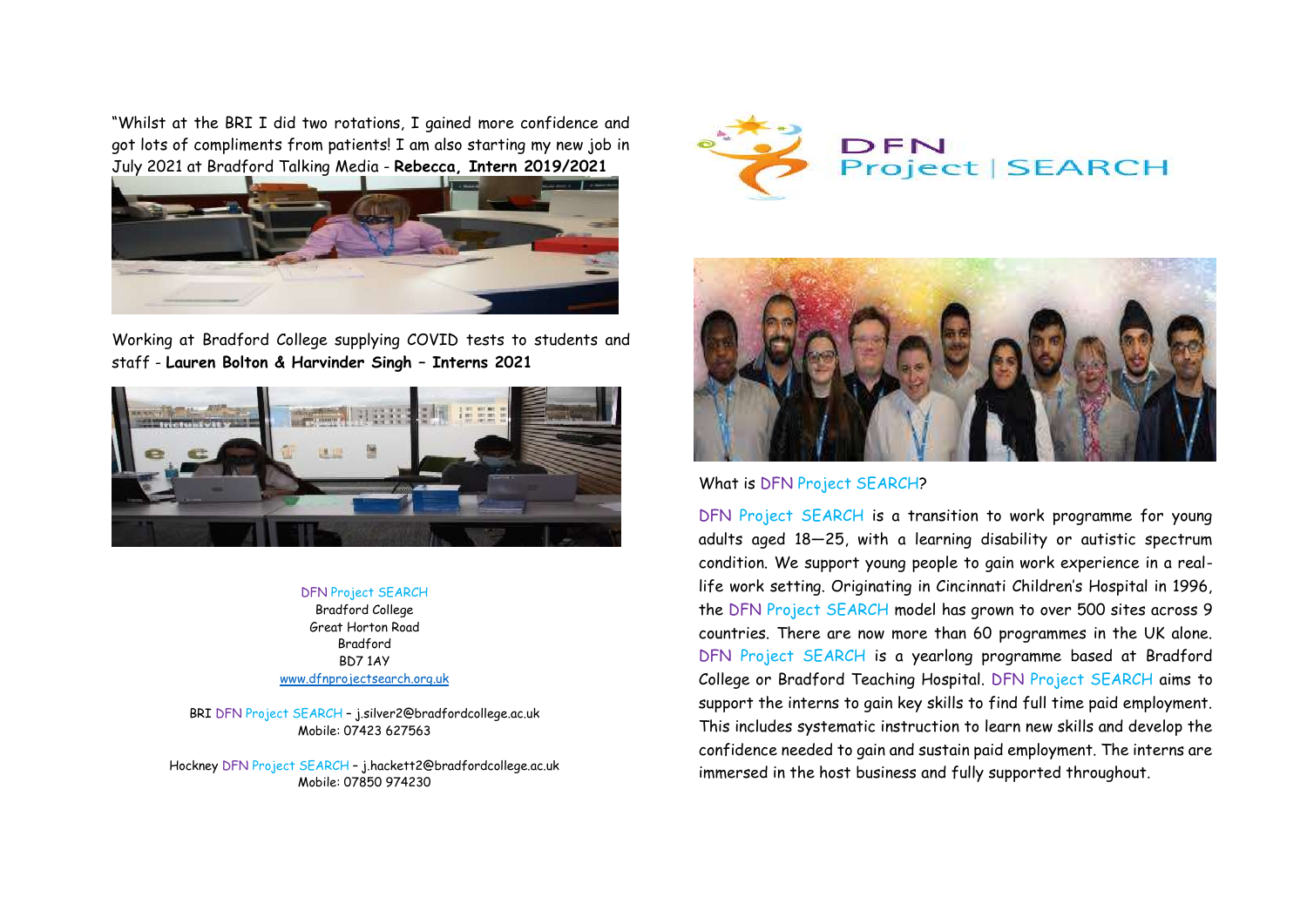"Whilst at the BRI I did two rotations, I gained more confidence and got lots of compliments from patients! I am also starting my new job in July 2021 at Bradford Talking Media - **Rebecca, Intern 2019/2021**



Working at Bradford College supplying COVID tests to students and staff - **Lauren Bolton & Harvinder Singh – Interns 2021**



#### DFN Project SEARCH

Bradford College Great Horton Road Bradford BD7 1AY [www.dfnprojectsearch.org.uk](http://www.dfnprojectsearch.org.uk/)

BRI DFN Project SEARCH – j.silver2@bradfordcollege.ac.uk Mobile: 07423 627563

Hockney DFN Project SEARCH – [j.hackett2@bradfordcollege.ac.uk](mailto:j.hackett2@bradfordcollege.ac.uk) Mobile: 07850 974230





What is DFN Project SEARCH?

DFN Project SEARCH is a transition to work programme for young adults aged 18—25, with a learning disability or autistic spectrum condition. We support young people to gain work experience in a reallife work setting. Originating in Cincinnati Children's Hospital in 1996, the DFN Project SEARCH model has grown to over 500 sites across 9 countries. There are now more than 60 programmes in the UK alone. DFN Project SEARCH is a yearlong programme based at Bradford College or Bradford Teaching Hospital. DFN Project SEARCH aims to support the interns to gain key skills to find full time paid employment. This includes systematic instruction to learn new skills and develop the confidence needed to gain and sustain paid employment. The interns are immersed in the host business and fully supported throughout.